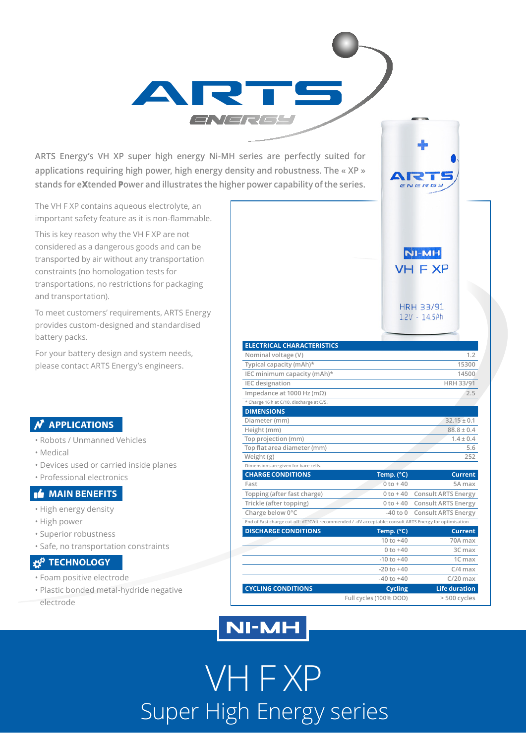**ARTS Energy's VH XP super high energy Ni-MH series are perfectly suited for applications requiring high power, high energy density and robustness. The « XP » stands for eXtended Power and illustrates the higher power capability of the series.**

**RATS** 

The VH F XP contains aqueous electrolyte, an important safety feature as it is non-flammable.

This is key reason why the VH F XP are not considered as a dangerous goods and can be transported by air without any transportation constraints (no homologation tests for transportations, no restrictions for packaging and transportation).

To meet customers' requirements, ARTS Energy provides custom-designed and standardised battery packs.

For your battery design and system needs, please contact ARTS Energy's engineers.

### **N** APPLICATIONS

- Robots / Unmanned Vehicles
- Medical
- Devices used or carried inside planes
- Professional electronics

#### **MAIN BENEFITS**

- High energy density
- High power
- Superior robustness
- Safe, no transportation constraints

### **TECHNOLOGY**

- Foam positive electrode
- Plastic bonded metal-hydride negative

electrode

| <b>ELECTRICAL CHARACTERISTICS</b>                                                                      |                |                            |
|--------------------------------------------------------------------------------------------------------|----------------|----------------------------|
| Nominal voltage (V)                                                                                    |                | 1.2                        |
| Typical capacity (mAh)*                                                                                |                | 15300                      |
| IEC minimum capacity (mAh)*                                                                            |                | 14500                      |
| <b>IEC</b> designation                                                                                 |                | <b>HRH 33/91</b>           |
| Impedance at 1000 Hz (m $\Omega$ )                                                                     |                | 2.5                        |
| * Charge 16 h at C/10, discharge at C/5.                                                               |                |                            |
| <b>DIMENSIONS</b>                                                                                      |                |                            |
| Diameter (mm)                                                                                          |                | $32.15 \pm 0.1$            |
| Height (mm)                                                                                            |                | $88.8 \pm 0.4$             |
| Top projection (mm)                                                                                    |                | $1.4 \pm 0.4$              |
| Top flat area diameter (mm)                                                                            |                | 5.6                        |
| Weight (g)                                                                                             |                | 252                        |
| Dimensions are given for bare cells.                                                                   |                |                            |
| <b>CHARGE CONDITIONS</b>                                                                               | Temp. (°C)     | <b>Current</b>             |
| Fast                                                                                                   | $0$ to $+40$   | 5A max                     |
| Topping (after fast charge)                                                                            | $0 to +40$     | <b>Consult ARTS Energy</b> |
| Trickle (after topping)                                                                                | $0 to + 40$    | <b>Consult ARTS Energy</b> |
| Charge below 0°C                                                                                       | $-40$ to $0$   | <b>Consult ARTS Energy</b> |
| End of Fast charge cut-off: dT°C/dt recommended / -dV acceptable: consult ARTS Energy for optimisation |                |                            |
| <b>DISCHARGE CONDITIONS</b>                                                                            | Temp. (°C)     | <b>Current</b>             |
|                                                                                                        | $10 to +40$    | 70A max                    |
|                                                                                                        | $0 to +40$     | 3C max                     |
|                                                                                                        | $-10$ to $+40$ | 1C max                     |
|                                                                                                        | $-20$ to $+40$ | $C/4$ max                  |
|                                                                                                        | $-40$ to $+40$ | $C/20$ max                 |
|                                                                                                        |                |                            |
| <b>CYCLING CONDITIONS</b>                                                                              | <b>Cycling</b> | <b>Life duration</b>       |

**NI-MH VH F XP** 

**HRH 33/91**  $1.2V - 14.5Ah$ 

## **NI-MH**

VH F XP Super High Energy series